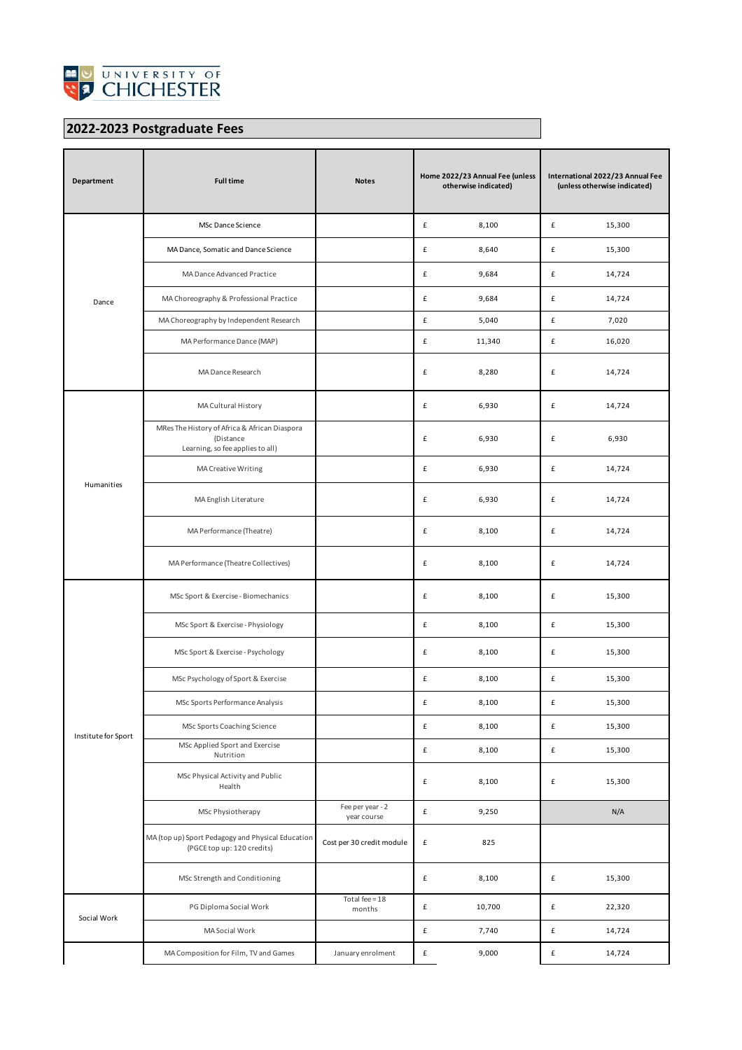

## **2022-2023 Postgraduate Fees**

| Department          | <b>Full time</b>                                                                               | <b>Notes</b>                    | Home 2022/23 Annual Fee (unless<br>otherwise indicated) |        | International 2022/23 Annual Fee<br>(unless otherwise indicated) |        |
|---------------------|------------------------------------------------------------------------------------------------|---------------------------------|---------------------------------------------------------|--------|------------------------------------------------------------------|--------|
| Dance               | MSc Dance Science                                                                              |                                 | £                                                       | 8,100  | £                                                                | 15,300 |
|                     | MA Dance, Somatic and Dance Science                                                            |                                 | £                                                       | 8,640  | £                                                                | 15,300 |
|                     | MA Dance Advanced Practice                                                                     |                                 | £                                                       | 9,684  | £                                                                | 14,724 |
|                     | MA Choreography & Professional Practice                                                        |                                 | £                                                       | 9,684  | £                                                                | 14,724 |
|                     | MA Choreography by Independent Research                                                        |                                 | £                                                       | 5,040  | £                                                                | 7,020  |
|                     | MA Performance Dance (MAP)                                                                     |                                 | £                                                       | 11,340 | £                                                                | 16,020 |
|                     | MA Dance Research                                                                              |                                 | £                                                       | 8,280  | £                                                                | 14,724 |
| Humanities          | MA Cultural History                                                                            |                                 | £                                                       | 6,930  | £                                                                | 14,724 |
|                     | MRes The History of Africa & African Diaspora<br>(Distance<br>Learning, so fee applies to all) |                                 | £                                                       | 6,930  | £                                                                | 6,930  |
|                     | MA Creative Writing                                                                            |                                 | £                                                       | 6,930  | £                                                                | 14,724 |
|                     | MA English Literature                                                                          |                                 | £                                                       | 6,930  | £                                                                | 14,724 |
|                     | MA Performance (Theatre)                                                                       |                                 | £                                                       | 8,100  | £                                                                | 14,724 |
|                     | MA Performance (Theatre Collectives)                                                           |                                 | £                                                       | 8,100  | £                                                                | 14,724 |
|                     | MSc Sport & Exercise - Biomechanics                                                            |                                 | £                                                       | 8,100  | £                                                                | 15,300 |
|                     | MSc Sport & Exercise - Physiology                                                              |                                 | £                                                       | 8,100  | £                                                                | 15,300 |
|                     | MSc Sport & Exercise - Psychology                                                              |                                 | £                                                       | 8,100  | £                                                                | 15,300 |
|                     | MSc Psychology of Sport & Exercise                                                             |                                 | £                                                       | 8,100  | £                                                                | 15,300 |
|                     | MSc Sports Performance Analysis                                                                |                                 | £                                                       | 8,100  | £                                                                | 15,300 |
| Institute for Sport | MSc Sports Coaching Science                                                                    |                                 | £                                                       | 8,100  | $\pmb{\mathsf{f}}$                                               | 15,300 |
|                     | MSc Applied Sport and Exercise<br>Nutrition                                                    |                                 | $\pmb{\mathtt{f}}$                                      | 8,100  | £                                                                | 15,300 |
|                     | MSc Physical Activity and Public<br>Health                                                     |                                 | £                                                       | 8,100  | £                                                                | 15,300 |
|                     | MSc Physiotherapy                                                                              | Fee per year - 2<br>year course | $\pmb{\mathtt{f}}$                                      | 9,250  |                                                                  | N/A    |
|                     | MA (top up) Sport Pedagogy and Physical Education<br>(PGCE top up: 120 credits)                | Cost per 30 credit module       | £                                                       | 825    |                                                                  |        |
|                     | MSc Strength and Conditioning                                                                  |                                 | $\pmb{\mathtt{f}}$                                      | 8,100  | $\pmb{\mathsf{f}}$                                               | 15,300 |
| Social Work         | PG Diploma Social Work                                                                         | Total fee = $18$<br>months      | $\pmb{\mathtt{f}}$                                      | 10,700 | $\pmb{\mathsf{f}}$                                               | 22,320 |
|                     | MA Social Work                                                                                 |                                 | £                                                       | 7,740  | £                                                                | 14,724 |
|                     | MA Composition for Film, TV and Games                                                          | January enrolment               | £                                                       | 9,000  | £                                                                | 14,724 |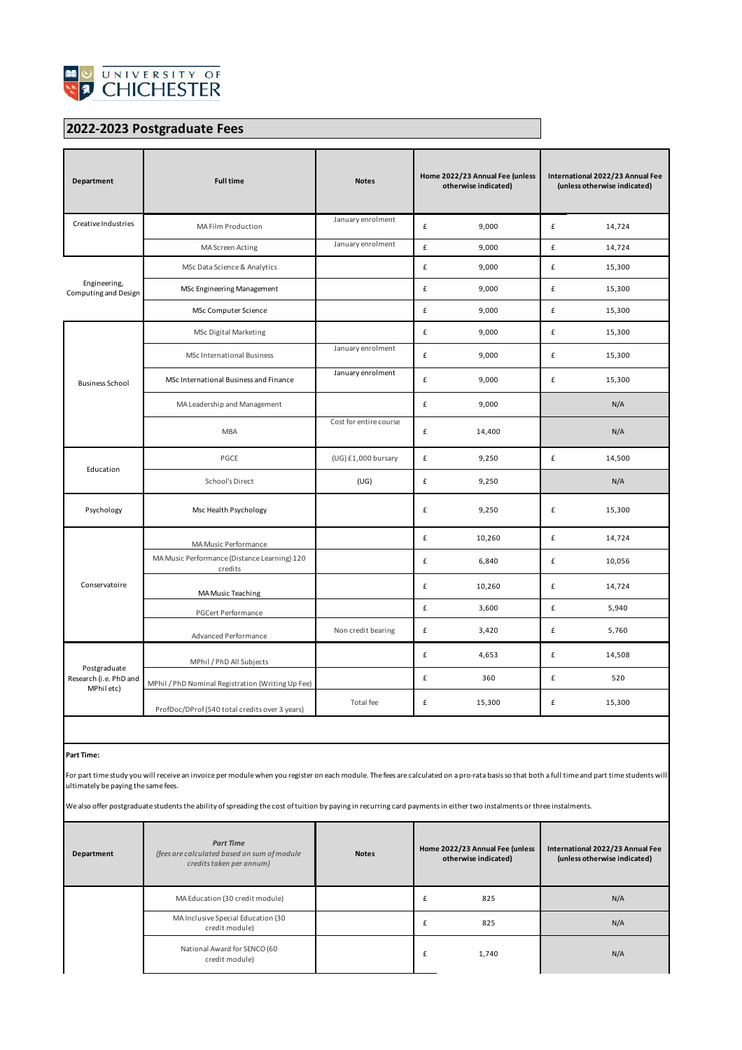

## **2022-2023 Postgraduate Fees**

| Department                                           | <b>Full time</b>                                        | <b>Notes</b>           | Home 2022/23 Annual Fee (unless<br>otherwise indicated) |        | International 2022/23 Annual Fee<br>(unless otherwise indicated) |        |
|------------------------------------------------------|---------------------------------------------------------|------------------------|---------------------------------------------------------|--------|------------------------------------------------------------------|--------|
| Creative Industries                                  | MA Film Production                                      | January enrolment      | £                                                       | 9,000  | £                                                                | 14,724 |
|                                                      | MA Screen Acting                                        | January enrolment      | £                                                       | 9,000  | £                                                                | 14,724 |
| Engineering,<br>Computing and Design                 | MSc Data Science & Analytics                            |                        | £                                                       | 9,000  | $\pmb{\mathsf{f}}$                                               | 15,300 |
|                                                      | MSc Engineering Management                              |                        | £                                                       | 9,000  | £                                                                | 15,300 |
|                                                      | MSc Computer Science                                    |                        | £                                                       | 9,000  | $\pmb{\mathsf{f}}$                                               | 15,300 |
|                                                      | <b>MSc Digital Marketing</b>                            |                        | $\pmb{\mathtt{f}}$                                      | 9,000  | $\pmb{\mathsf{f}}$                                               | 15,300 |
|                                                      | <b>MSc International Business</b>                       | January enrolment      | £                                                       | 9,000  | £                                                                | 15,300 |
| <b>Business School</b>                               | MSc International Business and Finance                  | January enrolment      | £                                                       | 9,000  | £                                                                | 15,300 |
|                                                      | MA Leadership and Management                            |                        | £                                                       | 9,000  |                                                                  | N/A    |
|                                                      | <b>MBA</b>                                              | Cost for entire course | £                                                       | 14,400 |                                                                  | N/A    |
| Education                                            | PGCE                                                    | (UG) £1,000 bursary    | £                                                       | 9,250  | $\pmb{\mathsf{f}}$                                               | 14,500 |
|                                                      | School's Direct                                         | (UG)                   | £                                                       | 9,250  |                                                                  | N/A    |
| Psychology                                           | Msc Health Psychology                                   |                        | £                                                       | 9,250  | £                                                                | 15,300 |
|                                                      | MA Music Performance                                    |                        | £                                                       | 10,260 | £                                                                | 14,724 |
|                                                      | MA Music Performance (Distance Learning) 120<br>credits |                        | £                                                       | 6,840  | £                                                                | 10,056 |
| Conservatoire                                        | MA Music Teaching                                       |                        | £                                                       | 10,260 | £                                                                | 14,724 |
|                                                      | <b>PGCert Performance</b>                               |                        | $\pmb{\mathrm{f}}$                                      | 3,600  | £                                                                | 5,940  |
|                                                      | Advanced Performance                                    | Non credit bearing     | £                                                       | 3,420  | £                                                                | 5,760  |
| Postgraduate<br>Research (i.e. PhD and<br>MPhil etc) | MPhil / PhD All Subjects                                |                        | £                                                       | 4,653  | £                                                                | 14,508 |
|                                                      | MPhil / PhD Nominal Registration (Writing Up Fee)       |                        | £                                                       | 360    | £                                                                | 520    |
|                                                      | ProfDoc/DProf (540 total credits over 3 years)          | Total fee              | £                                                       | 15,300 | £                                                                | 15,300 |

## **Part Time:**

For part time study you will receive an invoice per module when you register on each module. The fees are calculated on a pro-rata basis so that both a full time and part time students will ultimately be paying the same fees.

We also offer postgraduate students the ability of spreading the cost of tuition by paying in recurring card payments in either two instalments or three instalments.

| Department | <b>Part Time</b><br>(fees are calculated based on sum of module<br>credits taken per annum) | <b>Notes</b> | Home 2022/23 Annual Fee (unless<br>otherwise indicated) | International 2022/23 Annual Fee<br>(unless otherwise indicated) |  |
|------------|---------------------------------------------------------------------------------------------|--------------|---------------------------------------------------------|------------------------------------------------------------------|--|
|            | MA Education (30 credit module)                                                             |              | 825                                                     | N/A                                                              |  |
|            | MA Inclusive Special Education (30<br>credit module)                                        |              | 825<br>£                                                | N/A                                                              |  |
|            | National Award for SENCO (60<br>credit module)                                              |              | 1,740                                                   | N/A                                                              |  |